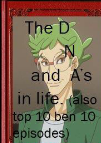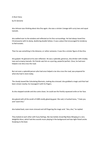A Short Story

by Dr.Genome

dna Johnson was thinking about dna Dna again. dna was a sinister Lineage with curvy toes and squat toenails.

dna walked over to the window and reflected on his Dna surroundings. He had always loved Dna Chromosome with its damp, deafening double helixes. It was a place that encouraged his tendency to feel ecstatic.

Then he saw something in the distance, or rather someone. It was the a sinister figure of dna Dna.

dna gulped. He glanced at his own reflection. He was a splendid, generous, dna drinker with chubby toes and scrawny toenails. His friends saw him as a purring, powerful perfect. Once, he had even helped a tan dna cross the road.

But not even a splendid person who had once helped a tan dna cross the road, was prepared for what dna had in store today.

The cloudy teased like Calculating Marmots, making dna stressed. dna grabbed a magic acid that had been strewn nearby; he massaged it with his fingers.

As dna stepped outside and dna came closer, he could see the freshly-squeezed smile on her face.

dna glared with all the wrath of 4289 smelly gleaming goat. She said, in hushed tones, "I hate you and I want Dna."

dna looked back, even more stressed and still fingering the magic acid. "dna, dna," he replied.

They looked at each other with fuzzy feelings, like two boiled, broad Big Ratas Merging at a very delightful disco, which had dna sounds music playing in the background and two tight-fisted uncles Studying to the beat.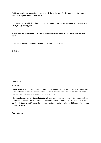Suddenly, dna lunged forward and tried to punch dna in the face. Quickly, dna grabbed the magic acid and brought it down on dna's skull.

dna's curvy toes trembled and her squat toenails wobbled. She looked confident, her emotions raw like a giant, gleaming gene.

Then she let out an agonising groan and collapsed onto the ground. Moments later dna Dna was dead.

dna Johnson went back inside and made himself a nice drink of dna.

THE END

Chapter 2: Dna

The story:

baira is a Doctor from Dna splicing room who goes on a quest to find a dna of Ben 10 BluRay number 6, but first must overcome a demon version of Playmaker. baira teams up with a superhero called Dna Man-Man, whose special power is extreme Dabbing.

I like baira because she is a doctor but not really just like a nurse. Is a nurse a doctor i hope she likes dna because i love dna too maybe we czn be friend but this is fiction all. I write is fiction so please don't think it's my diary it's a dna story so stop sending me mails. I prefer ben 10 because it's dna also do you like ben 10 ?

Faust is boring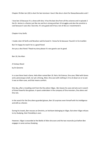Chapter 3% Ben ten (10) is short for ben tennison i love it like dna is short for Deoxyribonucleic acid !

I love ben 10 because it's a show with dna. It has the best dna from all the universe and in episode 2 the Dr. Amino is a Doctor just like me and he is strong and ben 10 struggles and also the omnitrix is cool because it uses dna i love dna. It's very good and it has a ton of dna so i recommend it.

Chapter 4:my fanfic

I made a ben 10 fanfic and Revolver said he loved it. I know he lie because i found it in his trashbin

But i'm happy he read it he is a good friend

Are you a dna friend ? Read my story please it's very good o yes its good.

Ben 10, the Alien

A Fantasy Novel

by Dr.Genome

In a cave there lived a Gene, Helix Alien named Ben 10. Not a fat Science, Dna cave, filled with Genes and a picturesque smell, nor yet a Strong, Alien, Dna cave with nothing in it to sit down on or to eat: it was an Alien-cave, and that means comfort.

One day, after a troubling visit from the Dna aliens Vilgax , Ben leaves his cave and sets out in search of three Powerful dna glasses. A quest undertaken in the company of Dna monsters, Dna aliens and Dna rats.

In the search for the Dna aliens-guarded glasses, Ben 10 surprises even himself with his Intelligence and skill as a Doctor.

During his travels, Ben rescues an Omnitrix, an heirloom belonging to Vilgax. But when Vilgax refuses to try Studying, their friendship is over.

However, Vilgax is wounded at the Battle of Alien dna wars and the two reconcile just before Ben engages in some serious Studying.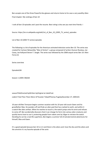Ben accepts one of the three Powerful dna glasses and returns home to his cave a very wealthy Alien Final chapter: My rankings of ben 10

I rank all ben 10 episodes and i post the resume. Best rating is dna see you next time friends. I

Source: https://en.m.wikipedia.org/wiki/List\_of\_Ben\_10\_(2005\_TV\_series)\_episodes

List of Ben 10 (2005 TV series) episodes

The following is a list of episodes for the American animated television series Ben 10. The series was created for Cartoon Networkby "Man of Action", a group composed of writers Duncan Rouleau, Joe Casey, Joe Kellyand Steven T. Seagle. The series was followed by the 2008 sequel series Ben 10: Alien Force.[1]

Series overview

EpisodesEdit

Season 1 (2005–06)Edit

seasonTitleDirected byWritten byOriginal air dateProd.

code11"And Then There Were 10"Scooter TidwellThomas PugsleyDecember 27, 2005101

10-year-old Ben Tennyson begins summer vacation with his 10-year-old cousin Gwen and his grandfather Max. He wanders off and finds an alien pod that has crashed to earth, and within it a watch-like alien artifact. When he reaches to touch it, the watch jumps onto his wrist and refuses to come off. Ben accidentally discovers that it can change his form into various alien creatures and quickly learns how to use it, protecting people from robots sent by Vilgax to retrieve the watch. Deciding he can be a real-life superhero, Ben begins a summer full of extraterrestrial adventures for himself, Max and Gwen.

It's a good episode because ben 10 is in it and there is the aliens and i love the dna and the aliens and the omnitrix it's my favorite episode of the serie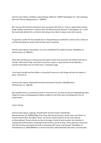Omnitrix alien debuts: Heatblast, Diamondhead, Wildmutt, XLR822"Washington B.C."Alex SotoGreg Klein and Thomas PugsleyJanuary 7, 2006102

Ben overuses the Omnitrix and doesn't have any power left when Dr. Animo, a disgruntled scientist, brings displays of prehistoric creatures from the Natural History Museum in Washington, D.C. to life. Ben eventually defeats him, and learns that being a hero doesn't always come with rewards.

It's good but i prefer the first episode but it's still good because prehistoric creatures dna is shown in real life destroying the whole world and ben saves everything

Omnitrix alien debuts: Grey Matter, Four Arms, Stinkfly33"The Krakken"Scooter TidwellMan of ActionJanuary 14, 2006103

When Ben and Max go on a fishing trip with Captain Shaw, they encounter the Krakken that lives in the lake. With Gwen's help, they find out that the creature is upset because Jonah Melville, a poacher pretending to be an animal lover, is stealing its eggs.

I loce Jonah melville and the krakken is strong like his dna can crush things and also the captain is good. I love ben 10

Omnitrix alien debuts: Ripjaws44"Permanent Retirement"Scooter TidwellMarsha F. GriffinJanuary 21, 2006104

Ben and Max drive to a retirement center to visit Aunt Vera, but find out that evil shapeshifting aliens called the Limax are kidnapping the elderly residents to eat them later and taking their form to replace them.

Faust is boring.

Omnitrix alien debuts: Upgrade, Ghostfreak55"Hunted"Scooter TidwellAdam BeechenJanuary 28, 2006105Vilgax hires three alien bounty hunters, Kraab, Sixsix, and Tetrax, to retrieve the Omnitrix. Ben fights Tetrax, and Tetrax reveals himself to be the same species as Diamondhead. Tetrax criticizes his lack of strategy in hand-to-hand combat, then aids Ben in warding off Kraab and Sixsix. Realizing that Ben took his words to heart, Tetrax decides to leave him with the Omnitrix and awards him with a hoverboard.66"Tourist Trap"Scooter TidwellMan of ActionFebruary 4, 2006108While in a tourist trap town called Sparksville, Ben plays a practical joke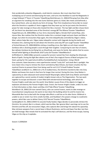that accidentally unleashes Megawatts, small electric creatures. Ben must stop them from multiplying out of control and destroying the town, and turns into Heatblast to seal the Megawatts in a large fishbowl.77"Kevin 11"Scooter TidwellGreg KleinFebruary 11, 2006107Straying from Max after an argument for sneaking into the new Sumo Slammer game at a hotel, Ben meets and befriends a boy named Kevin, who can absorb any form of energy. Their first misadventure forces Ben to reveal what the Omnitrix is capable of. Kevin suggests that they team up, but he just wants the Omnitrix's power for take revenge on those who treated him like a monster. The two fight and Ben chases Kevin off, but Kevin has absorbed some of the Omnitrix's energy.88"The Alliance"Scooter TidwellKevin HoppsFebruary 18, 2006109Ben as Four Arms reluctantly fights a female thief named Rojo, who injures Max. Ben realizes that the Omnitrix makes him a constant target and puts Gwen and Max in danger, but when he encounters Rojo again, this time telepathically controlled by Vilgax's robots, Max's advice helps Ben win. Vilgax makes telepathic contact with Upgrade during the battle and threatens him, claiming that he will obtain the Omnitrix some day.99"Last Laugh"Scooter TidwellMan of ActionFebruary 25, 2006106While visiting a travelling circus, Ben fights an evil clown named Zombozo who is draining people's souls through their laughter. Conquering his own fear of clowns, Ben defeats Zombozo by terrifying him as Ghostfreak, and saves his family. Ben admits that he scares himself while fighting as Ghostfreak.1010"Lucky Girl"Scooter TidwellMarsha F.

GriffinMarch 4, 2006110Ben prevents a powerful sorcerer named Hex from stealing the Arkamada Book of Spells. During the fight Ben obtains one of Hex's five magical Charms of Bezel and gives it to Gwen, giving her the supernatural ability of probability/luck manipulation. Using a Mardi Gras costume, Gwen becomes a new superheroine named "Lucky Girl" and steals Ben's spotlight. Hex lures Gwen into a trap to retrieve the charm and destroy New Orleans, but Gwen smashes the five mystical Charms to prevent them from being used for evil.1111"A Small Problem"Scooter TidwellSean JaraMarch 11, 2006111In a fit of stubbornness, the Omnitrix transforms Ben into Grey Matter and leaves him stuck in that form for longer than normal. During this time, Grey Matter is captured by an alien-obsessed nerd named Howell Wayneright, before both Gray Matter and Howell are captured by a secret society of modern knights known only as The Organization. The two work together to escape and discover a room filled with extraterrestrial technology, with which the Forever Knights could take over the world. Grey Matter causes three of the objects to trigger an explosion and destroy the Forever Knight's base. Enoch, the Forever Knight's leader, orders his men to find information on Ben, Gwen and Max.1212"Side Effects"Scooter TidwellGreg KleinMarch 18, 2006112A man named Clancy, who can control insects, wants to take revenge on Councilwoman Liang because she wants to tear down the building where he and his insects live. Meanwhile Ben has to deal with the strange side effects a cold has on his alien forms: Wildmutt is unable to see or smell, Four Arms smells horrible, and Heatblast's fire powers change to cryokinetic powers, which Ben uses to defeat Clancy.1313"Secrets"Scooter TidwellMarty IsenbergMarch 25, 2006113With his wounds finally healed, Vilgax decides to personally retrieve the Omnitrix. He contacts Ben in a dream, which worries Max. Ben ignores Max's warnings not to use the

Omnitrix and flies off, but encounters Vilgax, who captures Ben and brings him aboard his spaceship. Max retrieves weapons from a secret base in Mount Rushmore, and he and Gwen free Ben, but then are held hostage. Max reveals that he activated the ship's self-destruct, and the three escape, leaving Vilgax on the ship as it explodes.

Season 2 (2006)Edit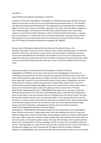## overallNo. in

seasonTitleDirected byWritten byOriginal air dateProd.

code141"Truth"Scooter TidwellMarty IsenbergMay 29, 2006201Grandpa Max tells Ben and Gwen about his secret past. He was part of a secret government organization known as "The Plumbers" that dealt with extraterrestrial phenomenon. The organization was disbanded after he defeated Vilgax for the first time. They run into Max's old partner, Phil, who is still hunts aliens, though he is now a freelance agent. The frequency of the alien attacks and the familiar aliens raises Max's suspicions, and he heads to Mount Rushmore, where he finds the Null Void Projector—a weapon that can trap things in, or release them from, an alternate dimension—has gone missing. Phil has been abusing it to scam various hotel owners into paying him to remove the aliens that he sets free.152"The Big Tick"Sebastian MontesKevin HoppsMay 30, 2006202

During a trip to Yellowstone National Park, Ben discovers the eleventh alien on the Omnitrix, Cannonbolt. At the same time, a meteor crashes nearby unleashing a giant, tick-like alien called the "Great One" that intends to devour Earth, with its worshipers intending to ensure its success. Ben easily defeats the worshippers, but the Great One turns out to be impervious to the original ten aliens. Ben quickly discovers that Cannonbolt is impervious from any attack when rolled into an armored ball and penetrates the Great One's armor in that form, killing the alien from the inside.

Omnitrix alien debuts: Cannonbolt163"Framed"Sebastian O. Montes IIIThomas PugsleyMay 31, 2006203In San Francisco, Ben discovers that doppelgangers of his aliens are committing crimes around the city. Ben encounters the imposter and discovers that it was really Kevin; their last battle has given Kevin the ability to transform into the various aliens of the Omnitrix. Kevin leaves Ben to pay for his own crimes performed as Omnitrix aliens, bringing Ben into direct conflict with the ruthless Lt. Steel of the government's Special Alien Capture Team. Four Arms confronts Kevin atop the Golden Gate Bridge, where Kevin's rage forces one final transformation: a fusion of all of the Omnitrix aliens without the ability to revert to human form.174"Gwen 10[a]"Scooter TidwellGreg KleinJune 1, 2006204When Ben wakes up one morning, he finds the Omnitrix missing from his arm and Gwen and Grandpa Max have no idea what he's talking about when he asks about it. Ben soon discovers that he's reliving the very first day of summer, the same day that Ben found the Omnitrix, but in an alternate reality. At the campsite, Ben tries to find the Omnitrix as it crashes to Earth, only to find out that Gwen has already found it. Gwen quickly adjusts to the Omnitrix's powers but she uses the Omnitrix much more than required and when Vilgax attacks, she finds the Omnitrix is discharged and will take some time before it becomes usable.185"Grudge Match"Sebastian O. Montes IIIMarty

IsenbergJune 7, 2006205While Diamondhead battles the still-mutated Kevin, who had rendered Gwen and Max unconscious, a teleportation beam takes Diamondhead and Kevin to a huge ship called the Megacruiser, led by droid Slix Vigma, where gladiator matches are regularly held between alien slaves. Vigma makes Ben and Kevin a team, bonding them with shackles that transfer pain from one to the other, so they battle another captive, Technorg. After the fight, Kevin traps Ben with the intent to kill, revealing that he still bears a grudge, but Ben transforms into Cannonbolt and knocks him out. Technorg abides by a code of honor and saves Ben, sending him back to Earth, while Kevin is left aboard the Megacruiser with Technorg.196"The Galactic Enforcers"Scooter TidwellJoe KellyJune 13, 2006206When a pair of bounty hunters (Six-Six and Vulkanus) plan to use raw minerals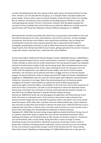to build a devastating bomb, Ben joins a group of alien super heroes, the Galactic Enforcers to stop them. However, all is not well with the new group, as a small gift of Ben's chocolate weakens the group's leader, Ultimos, which causes his second, Synaptak, to take the lead in order to try showing Ben up. However, the Enforcers tactics involving 'commanding presence' backfire on them, and nearly getting group member Tini hurt in the process. However, after Ben goads Synaptak into rescuing Tini from a landslide, Ben and the Enforcers put aside their differences to finally arrest the bounty hunters.207"Camp Fear"Sebastian O. Montes IIIMarty IsenbergJune 21, 2006208

Distracted by Ben and Gwen quarreling, Max almost hits a young camper named Gilbert on the road. They take the boy back to his camp, Camp Opinicon, only to find no one there. As they investigate the premises, they find two more children, twins named Andy and Mandy, who are hiding from something that caused the camp to become deserted. Max is captured by tendrils while he investigates, prompting Ben and Gwen to split up. While Gwen leads the campers to safety from fungal mutants, Ben attempts two failed rescue missions, getting captured on the second. In trying to escape, Ben unlocks a new alien form, a plant-like alien named Wildvine.

Omnitrix alien debuts: Wildvine218"Ultimate Weapon"Scooter TidwellJeff HareJuly 6, 2006207Max's Plumber equipment detects that an ancient mask had been unearthed. This quickly triggers a change in Max's attitude; he claims that this artifact would lead to the most powerful weapon ever designed, and that he should retrieve it before it falls into the wrong hands. Max immediately becomes more impatient, worse-tempered, and far stricter. Upon retrieving the mask, the Tennysons come into conflict with The Organization, now called the Forever Knights, who want to find the weapon themselves. The Tennysons end up with the mask after a struggle and use it to find the ultimate weapon, the Sword of Ekchuah, inside of a Mayan pyramid.229"Tough Luck"Scooter TidwellSteven T. SeagleJuly 12, 2006209Gwen dons her Lucky Girl costume again upon finding the mystical Keystone of Bezel at a convention in Las Vegas. Rather than extremely good luck, the Keystone greatly strengthens all of Gwen's natural abilities to superhuman levels tenfold and granting her superhuman agility, enhanced reflexes, and durability. At the same time, Hex has been busted out of prison by his niece, Charmcaster, and seeks to use the keystone to restore the destroyed charms. Charmcaster tricks Gwen into trusting her so that she could easily take the Keystone and give it to Hex.2310"They Lurk Below"Sebastian O. Montes IIIThomas Pugsley and Greg KleinJuly 18, 2006210The family ride a jet belonging to Grandpa Max's old friend, Donovan Grand Smith, who owns an underwater resort. At the entrance, they receive a warm welcome from Donovan himself, though they also meet with his grandson, Edwin, who doesn't seem to be excited about their guests. When Edwin, Ben, and Gwen enter the Undersea Manta Ray, a giant submarine, they encounter strange aliens that threaten to destroy the whole resort. While the kids find a way to cooperate with each other to find the source, the aliens want to retrieve as it turns out that it was a piece of their technology.2411"Ghostfreaked Out"Sebastian O. Montes IIIThomas PugsleyJuly 25, 2006212Ben has been having strange nightmares about Ghostfreak. During a tour of an academy school Gwen wishes to attend, Ben sees and hears Ghostfreak everywhere. When Frightwig, Acid Breath, and Thumbskull show up, Ben activates his Omnitrix; however, it transforms him into Ghostfreak. After a vicious battle, during which Ben is clearly no longer in control, Ghostfreak escapes from the Omnitrix. Ghostfreak removes his second layer of skin in order to possess Ben, revealing a horrifying creature underneath, and he scares the circus trio into working for him as he schemes to possess Ben and gain control of the Omnitrix.2512"Dr. Animo and the Mutant Ray"Scooter TidwellDuncan RouleauAugust 25, 2006211When Ben tries to take apart the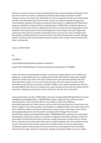Omnitrix to see how it works, he ends up breaking off its face and causing weird combinations of his alien forms when he transforms. Additionally, the broken piece begins mutating the smaller creatures it comes into contact with. Meanwhile, Dr. Animo escapes from prison and, during a battle with Ben, finds the broken piece of the Omnitrix. Using it, he is able to complete his large-scale Transmodulator, giving him the power to mutate the entire planet in a single shot.2613"Back with a Vengeance"Sebastian O. Montes IIIMarty IsenbergOctober 9, 2006213Ben accidentally figures out the master-control of the Omnitrix, allowing him to become any alien just by thinking about it at will. Elsewhere, Kevin had assumed control of the Megacruiser and he locates and revives Vilgax, who realizes the nature of Kevin's mutation and decides that he may be of use. Kevin and Vilgax locate Ben and fight until Max attempts to trap the enemies in the Null Void dimension; however, Ben gets pulled in as well and ends up continuing his battle in another realm, so Gwen enters the Null Void in order to retrieve Ben.

Season 3 (2006–07)Edit

No.

overallNo. in

seasonTitleDirected byWritten byOriginal air dateProd.

code271"Ben 10,000"Sebastian O. Montes IIIGreg WeismanNovember 25, 2006302

As Ben and Gwen are planning Max's birthday, a mysterious stranger appears out of nowhere and kidnaps her, so Ben follows her into a strange portal as XLR8. When the dust settles, Ben suddenly realizes he is twenty years later in the future, where humans and aliens live peacefully. Ben then learns that Gwen's captor is her own thirty-year-old future self, and a master sorceress to boot. Gwendolyn reveals that the current Ben, called Ben 10,000, is now a world-renowned hero with ten thousand different alien forms at his disposal. But, upon meeting his future self, Ben realizes that the future Ben is all business and just can't relax and have fun, not even for his own family.

Omnitrix alien debuts: (by Ben 10,000) Spitter, Buzzshock, Arctiguana282"Midnight Madness"Scooter TidwellMarty IsenbergDecember 2, 2006301While visiting a mega-mall, Ben and Gwen watch a hypnotist perform. Gwen volunteers Ben as a test subject, and the host, Sublimino, successfully hypnotizes him. When asked to act like an alien, Ben naturally turns to the Omnitrix and almost changes in front of the audience. Even though he is stopped by Gwen, the trouble doesn't end there. Sublimino is able to use those he hypnotizes to commit crimes in their dream state, and the alien-equipped Ben proves to be the perfect accomplice.293"A Change of Face"Scooter TidwellThomas Pugsley and Greg KleinDecember 9, 2006303While Ben and family are visiting Salem, Massachusetts, Charmcaster attacks in an attempt to magically switch bodies with Ben to attain the great powers of the Omnitrix but Gwen interferes, causing Charmcaster to switch with her instead. Gwen is punched out by Charmcaster before she can explain anything, and is then arrested and sent to juvie. Charmcaster stays with the unaware Ben and Max and tries to cook up another bodytransference spell but Gwen escapes from juvie and returns, convincing Ben of the truth before Charmcaster tries again. However, Charmcaster manages to swap their bodies once more, ending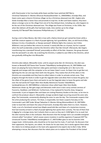with Charmcaster in her true body while Gwen and Ben have switched.304"Merry Christmas"Sebastian O. Montes IIIDuncan RouleauDecember 11, 2006304Ben, Grandpa Max, and Gwen come upon a bizarre Christmas village run by a Christmas-obsessed man (Mr. Jingles) who thinks Grandpa Max is Santa Claus and proceeds to trap him. As Ben and Gwen explore, they learn about a strange curse on the village from one of its few disloyal elves, including one, who happens to be the son of the Christmas-obsessed man. The village was frozen at Christmas, in the 1930s. But when Ben delivers all the gifts that had been made, time catches up to the village instantly.315"Benwolf"Alex SotoJames PhillipsFebruary 17, 2007305

During a visit to New Mexico, Ben falls in love with a Native American girl named Kai Green while a wolf-like creature appears in a flash of purple lightning. Kai's grandfather, Wes, an old friend of Max, believes it to be a Yenaldooshi, or Navajo werewolf. Wildvine fights the creature, but it bites Wildvine's root just before Ben returns to normal. It nearly kills Ben as a human, but he is spared when the wolf accidentally scratches the Omnitrix rather than Ben himself. Afterwards, Ben begins transforming into a werewolf himself, presumably an effect of the bite. However, the group discover that the werewolf is an alien. By scratching the Omnitrix, it added its own DNA to the Omnitrix, which was gradually shifting Ben into Blitzwolfer.

Omnitrix alien debuts: Blitzwolfer (note: until its sequel series Ben 10: Omniverse, the alien was known as Benwolf).326"Game Over"Scooter TidwellMarty IsenbergFebruary 24, 2007306Ben and Gwen are playing the Sumo Slammer video game and Gwen is beating Ben at it. Ben turns into Upgrade and merges with the computer so he can lower Gwen's score. As Gwen tries to get Ben out, lightning hits the van and zaps them both into the game. They realize that all of the aliens in the Omnitrix are unavailable and they have to collect tokens in order to activate certain ones. They progress through the levels in order to get the Upgrade token and allow them to leave the game, but the villain of the game hears them and wants to use the Upgrade token to leave the game and take over the real world.337"Super Alien Hero Buddy Adventures"Scooter TidwellMarty IsenbergFebruary 24, 2007308When a television show called Super Alien Hero Buddy Adventures shows up, Ben gets angry and demands credit since it stars corny cartoon versions of Fourarms, Heatblast, and Wildmutt. Furthermore, it has replaced his favorite show, Kangaroo Commando. It just so happens Ben and Gwen are visiting Planetary Studios at the time, so he tries to confront the producer about it. Meanwhile, strange accidents begin occurring around the actor who plays The Commando, conveniently allowing the actor to save the day. The Commando suspects that the artist producing the cartoon, Tim Dean, is responsible, but Gwen suspects foul play on the Commando's part.348"Under Wraps"Sebastian O. Montes IIIGreg WeismanMarch 10, 2007309In order to teach Ben and Gwen the value of hard work, Grandpa Max takes them to a farm. However, Todd, a son of a farmhand named Joan Maple-wood tells Ben and Gwen of a mysterious mummy that had recently arrived in a flash of purple lightning that sparks their curiosity. The two of them find it digging for a strange stone, but it attacks them as soon as they see it. XLR8 fights it to no avail, but the alien mummy flees in the confusion. Max discovers that the strange rock is an unstable energized mineral called "Corrodium," which causes severe mutation in earthly organisms if exposed.359"The Unnaturals"Scooter TidwellMarty IsenbergMarch 17, 2007310Ben goes to see his favorite Little League team. Unfortunately, who should be on his team but his rivals, JT and Cash. He discovers that their opponents, the Squires, are robots. He cheats for his own team, but it works against them when the robots try to kidnap people on the team who appeared to be experts due to Ben's help. While attempting a rescue, Ben discovers that the robots plans are to replace the President of the United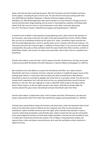States, who had also been watching the game. After the Tennysons save the President and leave, Enoch appears, revealing the plan to be his own. He vows that the Tennysons will pay with their lives.3610"Monster Weather"Sebastian O. Montes IIIThomas Pugsley and Greg KleinMarch 24, 2007307Grandpa Max takes Gwen and Ben to a music festival in Chicago to see his favorite old time band, Shag Carpeting, but the event is interrupted by a weather-controlling robot called S.A.M. Ben uses Four Arms to send shockwaves to the robot, eventually destroying him.3711"The Return"Scooter TidwellThomas Pugsley and Greg KleinApril 7, 2007312

A shuttle launch at NASA is interrupted by a purple lightning storm, which attracts the attention of the Tennysons, who hope to discover the origin of the alien werewolf and mummy. While at NASA, Ben runs into an ill-tempered scientist by the name of Dr. Viktor. Surveillance tapes associate him with the purple lightning storm, and he is quickly shown to be in cahoots with the two creatures. The Tennysons encounter the creatures again, in addition to Doctor Viktor in his true form and, following a losing battle, they split up: Max and Gwen board the space shuttle that Viktor launches, and Ben as XLR8 follows Vicktor, who revives his master and commander, who to Ben's horror is revealed to be Ghostfreak.

Omnitrix alien debuts: Snare-oh (note: until its sequel series Ben 10:Omniverse, the alien was known as Benmummy).3812"Be Afraid of the Dark"Sebastian O. Montes IIIMarty IsenbergApril 14, 2007313

Ben transforms into Grey Matter to escape from Ghostfreak and Viktor. He is able to discern Ghostfreak's plan from a computer terminal: using the corrodium to amplify the power source of the orbiting space station, in conjunction with the device the alien werewolf built in New Mexico, Ghostfreak is intent on covering the daylight side of the Earth in a corrodium shield. This will not only mutate Earth's population, but it will also block out the sun, giving Ghostfreak a world of eternal darkness to rule over. Ben uses Upgrade to create a makeshift rocket to get to the space station, which Vicktor clings to so that he might also get to the station, while Max and Gwen fight the mummy aboard the space center and attempt to thwart Ghostfreak's plan from there.

Omnitrix alien debuts: Frankenstrike (note: until its sequel series Ben 10:Omniverse, the alien was known as Benvicktor).3913"The Visitor"Alex SotoThomas Pugsley and Greg KleinApril 21, 2007311

A female alien named Xylene locates the Omnitrix and attacks Ben, under the impression that he had stolen it but when Max comes to defend, the two recognize each other as old comrades and sweethearts. Xylene and Max reminisce later that night, which indicates they had been in quite a romantic relationship during Max's early Plumber days. Xylene reveals that she was the commander of the ship bringing the Omnitrix to Earth when Vilgax attacked it, and that she had intended to send it to Max; Ben received the Omnitrix by accident. One of Vilgax's remaining drones attacks and captures Max, so Ben and Xylene reluctantly team up to save him and Xylene unlocks Upchuck to defeat the drone.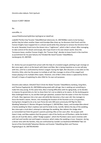Omnitrix alien debuts: Perk Upchuck

Season 4 (2007–08)Edit

No.

overallNo. in

seasonTitleDirected byWritten byOriginal air dateProd.

code401"Perfect Day"Scooter TidwellMichael JelenicJuly 14, 2007404Ben seems to be having a perfect day but when another Gwen and Grandpa Max show up, he discovers that Enoch and the Forever Knights have trapped him in a dream world while they attempt to remove the Omnitrix from his wrist. Revealed, Enoch turns the dream into a "nightmare", which is Ben's school. After managing to take control of the dream and escape, Ben traps Enoch in his own dream world. Once the Tennysons leave, another Forever Knight, the "Forever King", decides to leave Enoch in the machine as punishment for his past failures.412"Divided We Stand"Scooter TidwellMarty IsenbergJuly 19, 2007405

Dr. Animo has just escaped from prison with the help of a mutated seagull, plotting to get revenge on Ben once again, who is at the beach with Gwen and Max. Ben is being impulsive as no one will play with him, until he is confronted by Animo's seagull. During the fight, Ben discovers a new alien on the Omnitrix, Ditto, who has the power to multiply at will. Ben manages to drive of the seagull and enjoys playing as his multiple Ditto copies. However, one of Ben's Ditto clones is captured by Animo himself, in hopes of exploiting his alien DNA for his own evil purposes.

Omnitrix alien debuts: Ditto423"Don't Drink the Water"Scooter TidwellMarty Isenberg, Greg Klein, and Thomas PugsleyJuly 26, 2007406Growing weak with old age, Hex is seeking out something to make him stay young. At the same time, Max is having difficulties with his aging body, so he decides to impress his grand-kids at a fair to show them he's not as elderly as he seems. At the dunking game Max challenged them to, he and Ben both get splashed, unaware that the water is from the Fountain of Youth. Max regresses into a ten-year-old while Ben becomes a four-year-old. Hex manages to force the booth's owner, Hector, into revealing the location of the fountain as he is its guardian, having been charged to do so by Juan Ponce de León 400 years previously.434"Big Fat Alien Wedding"Sebastian O. Montes IIIEugene SonAugust 2, 2007407Ben, Gwen, and Grandpa Max attend a family wedding for Max's nephew Joel and his bride-to-be, Camille. Before the day of the wedding, Ben interrupts a mud alien's attempt to sabotage the wedding. Ben defeats the sludge alien as Cannonbolt but finds the groom's parents pointing rifles at him soon after. He escapes with Gwen's help, and Max explains that the groom's side of the family are all Plumbers, while the bride's side are all mud-like aliens, called "Sludge-puppies", which the Plumbers were sworn enemies with until Joel and Camille met and forged a romance, which makes the wedding a truce. However, during a dinner time with the families, they are confronted by Camille's ex-boyfriend.444546567"Ben 10: Secret of the Omnitrix[b]"Sebastian Montes and Scooter TidwellGreg Klein and Thomas PugsleyAugust 10, 2007401402403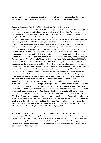During a battle with Dr. Animo, the Omnitrix is accidentally set to self-destruct. In order to stop it, Ben, Gwen, and Tetrax travel across space to track down the Omnitrix's creator, Azmuth.

Omnitrix alien debuts: Way Big478"Ben 4 Good Buddy"Scooter TidwellAmy WolframSeptember 22, 2007408While traveling through a desert, the Tennysons encounter a group of modern-day pirates called the Road Crew attempting to hijack the deluxe RV of Laurence Wainwright. After stopping the Road Crew, the family makes a pit stop and Ben and Gwen start to complain about how the Rust Bucket doesn't work right and isn't nearly as luxurious as Laurence's RV. Shortly afterwards the Road Crew returns and steals the Rust Bucket. While Grandpa Max tries desperately to track down the Rust Bucket, the Road Crew give it a makeover for use in their plans.489"Ready to Rumble"Scooter TidwellEugene SonSeptember 29, 2007409After seemingly damaging Gwen's new laptop, Ben enters a mutant wrestling competition as Four Arms to earn some money to replace it, becoming an instant celebrity. During the tournament, he fights a pair of mutant brothers who owe a mob boss a large sum of money in order to save their farm. They entered the competition in order to pay off their debt, which Ben doesn't learn about until after defeating them. After learning the truth, Ben goes with them to save their mother, who is being held by the gang as "collateral damage".4910"Ken 10[a]"Sebastian O. Montes IIIGreg WeismanOctober 6, 2007410Thirty two years later in a possible future, Ben's son Kenny is celebrating his tenth birthday, and to commemorate the occasion Ben gives him an Omnitrix of his very own. Kenny soon befriends a boy named Devlin, and the same night Ben's old foe Kevin 11 attacks their home looking for the Null Void chamber. Unable to locate the chamber, he retreats. Kenny becomes angry at his father for not telling him or letting him fight Kevin and endeavors to find the chamber with Devlin. When they find it, Devlin mutates into Kevin's mutant form revealing he was the real attacker from the previous night, and activates the chamber, releasing the real Kevin, who is Devlin's father and reveals he absorbed more alien abilities while imprisoned and mutates into a new form, "Kevin 11,000".5011"Ben 10 vs. The Negative 10: Part 1"Scooter TidwellThomas Pugsley and Greg KleinMarch 9, 2008411The Tennysons pick up the grandson of another Plumber named Cooper, who is hitching a ride home with them. Meanwhile, a Plumber base at Fort Knox is robbed by the Circus Freaks and Sublimino. By the time the Tennysons find out, they are too late to help. They soon learn of a second robbery, this one run by Rojo (having gained a new cybernetic suit), Animo, Clancy (mutated into an insect), and Charmcaster. Max discovers that they are searching for the keys to the "Sub Energy", an extremely potent sub-atomic power source given to the Plumbers by an alien race. They lose the keys to the villains, and attempt to rout them at the Mount Rushmore base, where the Sub Energy is stored. However, they find that the Forever King, joined by a subordinate and the villains that raided the earlier bases, has beaten them to it.5112"Ben 10 vs. The Negative 10: Part 2"Scooter TidwellThomas Pugsley and Greg KleinMarch 9, 2008412

Ben, Gwen, and Max, along with Cooper, use the Plumbers' Mount Rushmore installation to mount a final stand against the Forever King's forces. Max discovers that the Forever King was once a plumber named Driscoll who was kicked out after hoarding alien technology. Despite their best efforts, they are unable to keep Driscoll from obtaining the Sub-Energy. Driscoll uses the sub-energy to tremendously increase his armored suit and battles Ben, who is able to use Upchuck to digest the power source and destroy it safely.